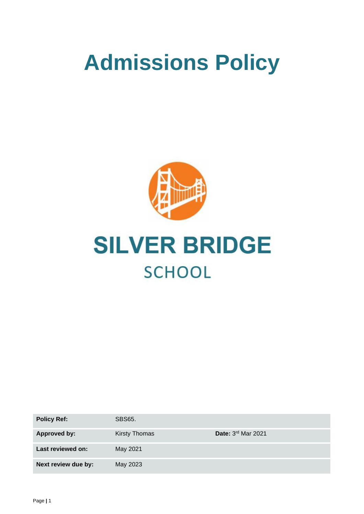# **Admissions Policy**





| <b>Policy Ref:</b>  | <b>SBS65.</b>        |                      |
|---------------------|----------------------|----------------------|
| <b>Approved by:</b> | <b>Kirsty Thomas</b> | Date: $3rd$ Mar 2021 |
| Last reviewed on:   | May 2021             |                      |
| Next review due by: | May 2023             |                      |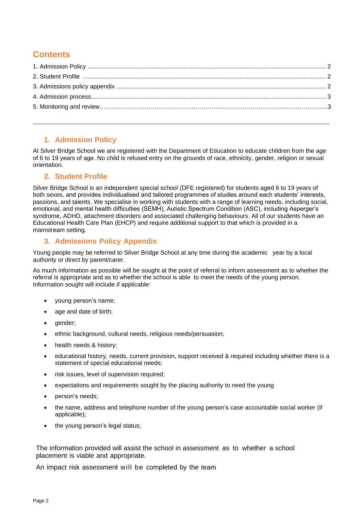# **Contents**

## **1. Admission Policy**

At Silver Bridge School we are registered with the Department of Education to educate children from the age of 6 to 19 years of age. No child is refused entry on the grounds of race, ethnicity, gender, religion or sexual orientation.

#### **2. Student Profile**

Silver Bridge School is an independent special school (DFE registered) for students aged 6 to 19 years of both sexes, and provides individualised and tailored programmes of studies around each students' interests, passions, and talents. We specialise in working with students with a range of learning needs, including social, emotional, and mental health difficulties (SEMH), Autistic Spectrum Condition (ASC), including Asperger's syndrome, ADHD, attachment disorders and associated challenging behaviours. All of our students have an Educational Health Care Plan (EHCP) and require additional support to that which is provided in a mainstream setting.

## **3. Admissions Policy Appendix**

Young people may be referred to Silver Bridge School at any time during the academic year by a local authority or direct by parent/carer.

As much information as possible will be sought at the point of referral to inform assessment as to whether the referral is appropriate and as to whether the school is able to meet the needs of the young person. Information sought will include if applicable:

- young person's name;
- age and date of birth;
- gender;
- ethnic background, cultural needs, religious needs/persuasion;
- health needs & history:
- educational history, needs, current provision, support received & required including whether there is a statement of special educational needs;
- risk issues, level of supervision required:
- expectations and requirements sought by the placing authority to need the young
- person's needs;
- the name, address and telephone number of the young person's case accountable social worker (if applicable);
- the young person's legal status;

The information provided will assist the school in assessment as to whether a school placement is viable and appropriate.

An impact risk assessment will be completed by the team